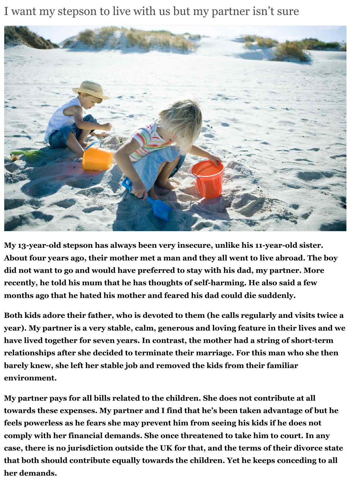I want my stepson to live with us but my partner isn't sure



**My 13-year-old stepson has always been very insecure, unlike his 11-year-old sister. About four years ago, their mother met a man and they all went to live abroad. The boy did not want to go and would have preferred to stay with his dad, my partner. More recently, he told his mum that he has thoughts of self-harming. He also said a few months ago that he hated his mother and feared his dad could die suddenly.**

**Both kids adore their father, who is devoted to them (he calls regularly and visits twice a year). My partner is a very stable, calm, generous and loving feature in their lives and we have lived together for seven years. In contrast, the mother had a string of short-term relationships after she decided to terminate their marriage. For this man who she then barely knew, she left her stable job and removed the kids from their familiar environment.**

**My partner pays for all bills related to the children. She does not contribute at all towards these expenses. My partner and I find that he's been taken advantage of but he feels powerless as he fears she may prevent him from seeing his kids if he does not comply with her financial demands. She once threatened to take him to court. In any case, there is no jurisdiction outside the UK for that, and the terms of their divorce state that both should contribute equally towards the children. Yet he keeps conceding to all her demands.**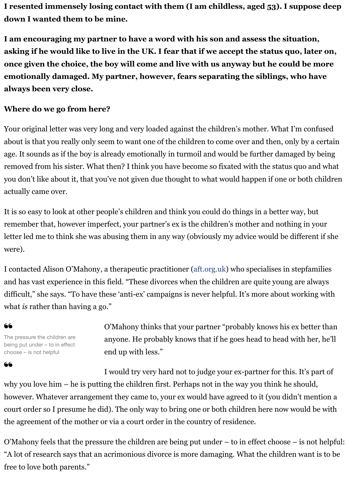## **Where do we go from here?**

**always been very close.**

Your original letter was very long and very loaded against the children's mother. What I'm c about is that you really only seem to want one of the children to come over and then, only by age. It sounds as if the boy is already emotionally in turmoil and would be further damaged removed from his sister. What then? I think you have become so fixated with the status quo you don't like about it, that you've not given due thought to what would happen if one or both children children actually came over.

It is so easy to look at other people's children and think you could do things in a better way, remember that, however imperfect, your partner's ex is the children's mother and nothing in letter led me to think she was abusing them in any way (obviously my advice would be different if she were).

I contacted Alison O'Mahony, a therapeutic practitioner (aft.org.uk) who specialises in step and has vast experience in this field. "These divorces when the children are quite young are difficult," she says. "To have these 'anti-ex' campaigns is never helpful. It's more about work what *is* rather than having a go."

## 66

66

The pressure the children are being put under – to in effect choose – is not helpful

O'Mahony thinks that your partner "probably knows his ex better than anyone. He probably knows that if he goes head to head with end up with less."

I would try very hard not to judge your ex-partner for this. It's why you love him – he is putting the children first. Perhaps not in the way you think he should. however. Whatever arrangement they came to, your ex would have agreed to it (you didn't negative) court order so I presume he did). The only way to bring one or both children here now would the agreement of the mother or via a court order in the country of residence.

O'Mahony feels that the pressure the children are being put under  $-$  to in effect choose  $-$  is "A lot of research says that an acrimonious divorce is more damaging. What the children wa free to love both parents."